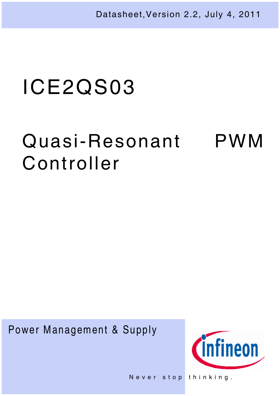Datasheet,Version 2.2, July 4, 2011

# ICE2QS03

# Quasi-Resonant PWM Controller

Power Management & Supply



Never stop thinking.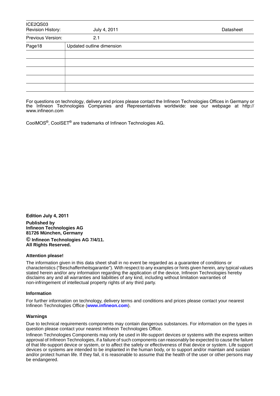| ICE2QS03<br>Revision History: | July 4, 2011              | Datasheet |
|-------------------------------|---------------------------|-----------|
| Previous Version:             | 2.1                       |           |
| Page18                        | Updated outline dimension |           |
|                               |                           |           |
|                               |                           |           |
|                               |                           |           |
|                               |                           |           |
|                               |                           |           |

For questions on technology, delivery and prices please contact the Infineon Technologies Offices in Germany or the Infineon Technologies Companies and Representatives worldwide: see our webpage at http:// www.infineon.com

CoolMOS<sup>®</sup>, CoolSET<sup>®</sup> are trademarks of Infineon Technologies AG.

**Edition July 4, 2011**

**Published by Infineon Technologies AG 81726 München, Germany © Infineon Technologies AG 7/4/11.**

**All Rights Reserved.**

#### **Attention please!**

The information given in this data sheet shall in no event be regarded as a guarantee of conditions or characteristics ("Beschaffenheitsgarantie"). With respect to any examples or hints given herein, any typical values stated herein and/or any information regarding the application of the device, Infineon Technologies hereby disclaims any and all warranties and liabilities of any kind, including without limitation warranties of non-infringement of intellectual property rights of any third party.

#### **Information**

For further information on technology, delivery terms and conditions and prices please contact your nearest Infineon Technologies Office (**www.infineon.com**).

#### **Warnings**

Due to technical requirements components may contain dangerous substances. For information on the types in question please contact your nearest Infineon Technologies Office.

Infineon Technologies Components may only be used in life-support devices or systems with the express written approval of Infineon Technologies, if a failure of such components can reasonably be expected to cause the failure of that life-support device or system, or to affect the safety or effectiveness of that device or system. Life support devices or systems are intended to be implanted in the human body, or to support and/or maintain and sustain and/or protect human life. If they fail, it is reasonable to assume that the health of the user or other persons may be endangered.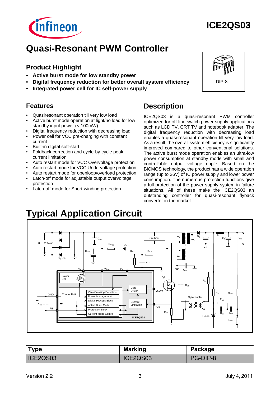

# **ICE2QS03**

# **Quasi-Resonant PWM Controller**

# **Product Highlight**

- **Active burst mode for low standby power**
- **Digital frequency reduction for better overall system efficiency**
- **Integrated power cell for IC self-power supply**

# **Features**

- Quasiresonant operation till very low load
- Active burst mode operation at light/no load for low standby input power (< 100mW)
- Digital frequency reduction with decreasing load • Power cell for VCC pre-charging with constant
- current • Built-in digital soft-start
- Foldback correction and cycle-by-cycle peak current limitation
- Auto restart mode for VCC Overvoltage protection
- Auto restart mode for VCC Undervoltage protection
- Auto restart mode for openloop/overload protection
- Latch-off mode for adjustable output overvoltage protection
- Latch-off mode for Short-winding protection

# **Description**

ICE2QS03 is a quasi-resonant PWM controller optimized for off-line switch power supply applications such as LCD TV, CRT TV and notebook adapter. The digital frequency reduction with decreasing load enables a quasi-resonant operation till very low load. As a result, the overall system efficiency is significantly improved compared to other conventional solutions. The active burst mode operation enables an ultra-low power consumption at standby mode with small and controllable output voltage ripple. Based on the BiCMOS technology, the product has a wide operation range (up to 26V) of IC power supply and lower power consumption. The numerous protection functions give a full protection of the power supply system in failure situations. All of these make the ICE2QS03 an outstanding controller for quasi-resonant flyback converter in the market.

# **Typical Application Circuit**



| Type     | <b>Marking</b> | Package  |
|----------|----------------|----------|
| ICE2QS03 | ICE2QS03       | PG-DIP-8 |

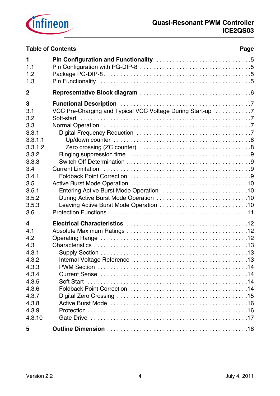

|                  | <b>Table of Contents</b><br>Page                           |
|------------------|------------------------------------------------------------|
| 1                |                                                            |
| 1.1              |                                                            |
| 1.2              |                                                            |
| 1.3              |                                                            |
| $\boldsymbol{2}$ |                                                            |
| 3                |                                                            |
| 3.1              | VCC Pre-Charging and Typical VCC Voltage During Start-up 7 |
| 3.2              |                                                            |
| 3.3              |                                                            |
| 3.3.1            |                                                            |
| 3.3.1.1          |                                                            |
| 3.3.1.2          |                                                            |
| 3.3.2            |                                                            |
| 3.3.3            |                                                            |
| 3.4              |                                                            |
| 3.4.1            |                                                            |
| 3.5              |                                                            |
| 3.5.1            |                                                            |
| 3.5.2            |                                                            |
| 3.5.3            |                                                            |
| 3.6              |                                                            |
| 4                |                                                            |
| 4.1              |                                                            |
| 4.2              |                                                            |
| 4.3              |                                                            |
| 4.3.1            |                                                            |
| 4.3.2            |                                                            |
| 4.3.3            |                                                            |
| 4.3.4            |                                                            |
| 4.3.5            |                                                            |
| 4.3.6            |                                                            |
| 4.3.7            |                                                            |
| 4.3.8            |                                                            |
| 4.3.9            |                                                            |
| 4.3.10           |                                                            |
| 5                |                                                            |
|                  |                                                            |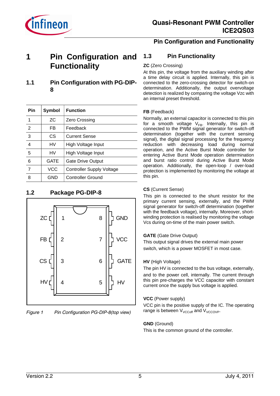

# **Pin Configuration and Functionality**

# **1** Pin Configuration and 1.3 **Functionality**

**1.1 Pin Configuration with PG-DIP-8**

| Pin            | Symbol | <b>Function</b>                  |  |  |  |
|----------------|--------|----------------------------------|--|--|--|
| 1              | ZС     | Zero Crossing                    |  |  |  |
| $\overline{2}$ | FB     | Feedback                         |  |  |  |
| 3              | CS     | <b>Current Sense</b>             |  |  |  |
| 4              | HV     | High Voltage Input               |  |  |  |
| 5              | HV     | High Voltage Input               |  |  |  |
| 6              | GATE   | <b>Gate Drive Output</b>         |  |  |  |
| 7              | VCC    | <b>Controller Supply Voltage</b> |  |  |  |
| 8              | GND    | <b>Controller Ground</b>         |  |  |  |

# **1.2 Package PG-DIP-8**



*Figure 1 Pin Configuration PG-DIP-8(top view)*

# **Pin Functionality**

#### **ZC** (Zero Crossing)

At this pin, the voltage from the auxiliary winding after a time delay circuit is applied. Internally, this pin is connected to the zero-crossing detector for switch-on determination. Additionally, the output overvoltage detection is realized by comparing the voltage Vzc with an internal preset threshold.

#### **FB** (Feedback)

Normally, an external capacitor is connected to this pin for a smooth voltage  $V_{FB}$ . Internally, this pin is connected to the PWM signal generator for switch-off determination (together with the current sensing signal), the digital signal processing for the frequency reduction with decreasing load during normal operation, and the Active Burst Mode controller for entering Active Burst Mode operation determination and burst ratio control during Active Burst Mode operation. Additionally, the open-loop / over-load protection is implemented by monitoring the voltage at this pin.

#### **CS** (Current Sense)

This pin is connected to the shunt resistor for the primary current sensing, externally, and the PWM signal generator for switch-off determination (together with the feedback voltage), internally. Moreover, shortwinding protection is realised by monitoring the voltage Vcs during on-time of the main power switch.

#### **GATE** (Gate Drive Output)

This output signal drives the external main power switch, which is a power MOSFET in most case.

#### **HV** (High Voltage)

The pin HV is connected to the bus voltage, externally, and to the power cell, internally. The current through this pin pre-charges the VCC capacitor with constant current once the supply bus voltage is applied.

#### **VCC** (Power supply)

VCC pin is the positive supply of the IC. The operating range is between  $V_{VCCO}$ <sup>ff</sup> and  $V_{VCCO}$ <sub>P</sub>.

#### **GND** (Ground)

This is the common ground of the controller.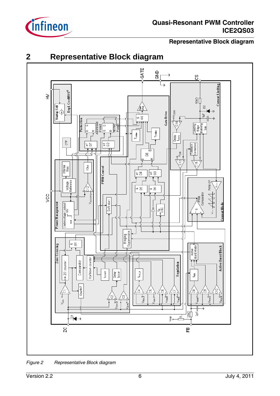

# **Representative Block diagram**





*Figure 2 Representative Block diagram*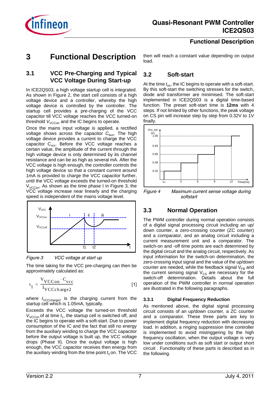

## **Functional Description**

# **3 Functional Description**

then will reach a constant value depending on output load.

# **3.2 Soft-start**

At the time  $t_{\text{on}}$ , the IC begins to operate with a soft-start. By this soft-start the switching stresses for the switch, diode and transformer are minimised. The soft-start implemented in ICE2QS03 is a digital time-based function. The preset soft-start time is **12ms** with 4 steps. If not limited by other functions, the peak voltage on CS pin will increase step by step from 0.32V to 1V finally.



*softstart*

# **3.3 Normal Operation**

The PWM controller during normal operation consists of a digital signal processing circuit including an up/ down counter, a zero-crossing counter (ZC counter) and a comparator, and an analog circuit including a current measurement unit and a comparator. The switch-on and -off time points are each determined by the digital circuit and the analog circuit, respectively. As input information for the switch-on determination, the zero-crossing input signal and the value of the up/down counter are needed, while the feedback signal  $V_{FB}$  and the current sensing signal  $V_{CS}$  are necessary for the switch-off determination. Details about the full operation of the PWM controller in normal operation are illustrated in the following paragraphs.

#### **3.3.1 Digital Frequency Reduction**

As mentioned above, the digital signal processing circuit consists of an up/down counter, a ZC counter and a comparator. These three parts are key to implement digital frequency reduction with decreasing load. In addition, a ringing suppression time controller is implemented to avoid mistriggering by the high frequency oscillation, when the output voltage is very low under conditions such as soft start or output short circuit . Functionality of these parts is described as in the following.

# **3.1 VCC Pre-Charging and Typical VCC Voltage During Start-up**

In ICE2QS03, a high voltage startup cell is integrated. As shown in Figure 2, the start cell consists of a high voltage device and a controller, whereby the high voltage device is controlled by the controller. The startup cell provides a pre-charging of the VCC capacitor till VCC voltage reaches the VCC turned-on threshold  $V_{VCCon}$  and the IC begins to operate.

Once the mains input voltage is applied, a rectified voltage shows across the capacitor C<sub>bus</sub>. The high voltage device provides a current to charge the VCC capacitor  $C_{\text{vcc}}$ . Before the VCC voltage reaches a certain value, the amplitude of the current through the high voltage device is only determined by its channel resistance and can be as high as several mA. After the VCC voltage is high enough, the controller controls the high voltage device so that a constant current around 1mA is provided to charge the VCC capacitor further, until the VCC voltage exceeds the turned-on threshold  $V_{VCCon}$ . As shown as the time phase I in Figure 3, the VCC voltage increase near linearly and the charging speed is independent of the mains voltage level.



*Figure 3 VCC voltage at start up*

The time taking for the VCC pre-charging can then be approximately calculated as:

$$
t_1 = \frac{V_{VCCon} \cdot C_{vcc}}{I_{VCCch \text{arge2}}}
$$
 [1]

where  $I_{\text{VCC}$ charge<sub>2</sub> is the charging current from the  $3.3.1$ startup cell which is 1.05mA, typically.

Exceeds the VCC voltage the turned-on threshold  $V_{\text{VCCon}}$  of at time  $t_1$ , the startup cell is switched off, and the IC begins to operate with a soft-start. Due to power consumption of the IC and the fact that still no energy from the auxiliary winding to charge the VCC capacitor before the output voltage is built up, the VCC voltage drops (Phase II). Once the output voltage is high enough, the VCC capacitor receives then energy from the auxiliary winding from the time point  $t<sub>2</sub>$  on. The VCC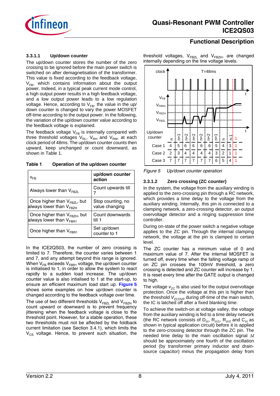

# **Functional Description**

#### **3.3.1.1 Up/down counter**

The up/down counter stores the number of the zero crossing to be ignored before the main power switch is switched on after demagnetisation of the transformer. This value is fixed according to the feedback voltage,  $V_{FB}$ , which contains information about the output power. Indeed, in a typical peak current mode control, a high output power results in a high feedback voltage, and a low output power leads to a low regulation voltage. Hence, according to  $V_{FB}$ , the value in the up/ down counter is changed to vary the power MOSFET off-time according to the output power. In the following, the variation of the up/down counter value according to the feedback voltage is explained.

The feedback voltage  $V_{FB}$  is internally compared with three threshold voltages  $V_{\text{RI}}$ ,  $V_{\text{RH}}$  and  $V_{\text{RM}}$ , at each clock period of 48ms. The up/down counter counts then upward, keep unchanged or count downward, as shown in Table 1.

**Table 1 Operation of the up/down counter**

| V <sub>FR</sub>                                                          | up/down counter<br>action           |
|--------------------------------------------------------------------------|-------------------------------------|
| Always lower than $V_{FRZI}$                                             | Count upwards till                  |
| Once higher than $V_{FBZL}$ , but<br>always lower than V <sub>FBZH</sub> | Stop counting, no<br>value changing |
| Once higher than $V_{FBZH}$ , but<br>always lower than $V_{FBB1}$        | Count downwards<br>till 1           |
| Once higher than $V_{FBB1}$                                              | Set up/down<br>counter to 1         |

In the ICE2QS03, the number of zero crossing is limited to 7. Therefore, the counter varies between 1 and 7, and any attempt beyond this range is ignored. When  $V_{FB}$  exceeds  $V_{FBR1}$  voltage, the up/down counter is initialised to 1, in order to allow the system to react rapidly to a sudden load increase. The up/down counter value is also intialised to 1 at the start-up, to ensure an efficient maximum load start up. **Figure 5** shows some examples on how up/down counter is changed according to the feedback voltage over time.

The use of two different thresholds  $V_{FRZI}$  and  $V_{FRZH}$  to count upward or downward is to prevent frequency jittereing when the feedback voltage is close to the threshold point. However, for a stable operation, these two thresholds must not be affected by the foldback current limitation (see Section 3.4.1), which limits the  $V_{CS}$  voltage. Hence, to prevent such situation, the threshold voltages, V<sub>FBZL</sub> and V<sub>FBZH</sub>, are changed internally depending on the line voltage levels.



*Figure 5 Up/down counter operation*

#### **3.3.1.2 Zero crossing (ZC counter)**

In the system, the voltage from the auxiliary winding is applied to the zero-crossing pin through a RC network, which provides a time delay to the voltage from the auxiliary winding. Internally, this pin is connected to a clamping network, a zero-crossing detector, an output overvoltage detector and a ringing suppression time controller.

During on-state of the power switch a negative voltage applies to the ZC pin. Through the internal clamping network, the voltage at the pin is clamped to certain level.

The ZC counter has a minimum value of 0 and maximum value of 7. After the internal MOSFET is turned off, every time when the falling voltage ramp of on ZC pin crosses the 100mV threshold, a zero crossing is detected and ZC counter will increase by 1. It is reset every time after the GATE output is changed to high.

The voltage  $v_{zC}$  is also used for the output overvoltage protection. Once the voltage at this pin is higher than the threshold *V*<sub>ZCOVP</sub> during off-time of the main switch, the IC is latched off after a fixed blanking time.

To achieve the switch-on at voltage valley, the voltage from the auxiliary winding is fed to a time delay network (the RC network consists of  $D_{zc}$ ,  $R_{zc1}$ ,  $R_{zc2}$  and  $C_{zc}$  as shown in typical application circuit) before it is applied to the zero-crossing detector through the ZC pin. The needed time delay to the main oscillation signal  $\Delta t$ should be approximately one fourth of the oscillation period (by transformer primary inductor and drainsource capacitor) minus the propagation delay from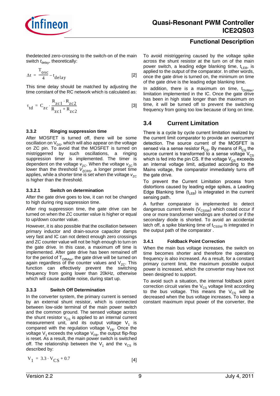

thedetected zero-crossing to the switch-on of the main switch  $t_{\text{delay}}$ , theoretically:

$$
\Delta t = \frac{T_{osc}}{4} - t_{delay}
$$
 [2]

This time delay should be matched by adjusting the time constant of the RC network which is calculated as:

$$
\tau_{td} = C_{zc} \cdot \frac{R_{zc1} \cdot R_{zc2}}{R_{zc1} + R_{zc2}}
$$
 [3]

#### **3.3.2 Ringing suppression time**

After MOSFET is turned off, there will be some oscillation on  $V_{DS}$ , which will also appear on the voltage on ZC pin. To avoid that the MOSFET is turned on mistriggerred by such oscillations, a ringing suppression timer is implemented. The timer is dependent on the voltage  $v_{ZC}$ . When the voltage  $v_{ZC}$  is lower than the threshold V<sub>ZCRS</sub>, a longer preset time applies, while a shorter time is set when the voltage  $v_{ZC}$ is higher than the threshold.

#### **3.3.2.1 Switch on determination**

After the gate drive goes to low, it can not be changed to high during ring suppression time.

After ring suppression time, the gate drive can be turned on when the ZC counter value is higher or equal to up/down counter value.

However, it is also possible that the oscillation between primary inductor and drain-source capacitor damps very fast and IC can not detect enough zero crossings and ZC counter value will not be high enough to turn on 3.4.1 the gate drive. In this case, a maximum off time is implemented. After gate drive has been remained off for the period of  $T<sub>OffMax</sub>$ , the gate drive will be turned on again regardless of the counter values and  $V_{ZC}$ . This function can effectively prevent the switching frequency from going lower than 20kHz, otherwise which will cause audible noise, during start up.

#### **3.3.3 Switch Off Determination**

In the converter system, the primary current is sensed by an external shunt resistor, which is connected between low-side terminal of the main power switch and the common ground. The sensed voltage across the shunt resistor  $v_{\text{cs}}$  is applied to an internal current measurement unit, and its output voltage  $V_1$  is compared with the regulation voltage  $V_{FB}$ . Once the voltage  $V_1$  exceeds the voltage  $V_{FB}$ , the output flip-flop is reset. As a result, the main power switch is switched off. The relationship between the  $V_1$  and the  $V_{CS}$  is described by:

#### **Functional Description**

To avoid mistriggering caused by the voltage spike across the shunt resistor at the turn on of the main power switch, a leading edge blanking time,  $t_{LEB}$ , is applied to the output of the comparator. In other words, once the gate drive is turned on, the minimum on time of the gate drive is the leading edge blanking time.

In addition, there is a maximum on time,  $t_{OMax}$ , limitation implemented in the IC. Once the gate drive has been in high state longer than the maximum on time, it will be turned off to prevent the switching frequency from going too low because of long on time.

# **3.4 Current Limitation**

There is a cycle by cycle current limitation realized by the current limit comparator to provide an overcurrent detection. The source current of the MOSFET is sensed via a sense resistor  $R_{\text{CS}}$ . By means of  $R_{\text{CS}}$  the source current is transformed to a sense voltage  $V_{CS}$ which is fed into the pin CS. If the voltage  $V_{CS}$  exceeds an internal voltage limit, adjusted according to the Mains voltage, the comparator immediately turns off the gate drive.

To prevent the Current Limitation process from distortions caused by leading edge spikes, a Leading Edge Blanking time  $(t<sub>l</sub><sub>FB</sub>)$  is integrated in the current sensing path.

A further comparator is implemented to detect dangerous current levels ( $V_{\text{CSSW}}$ ) which could occur if one or more transformer windings are shorted or if the secondary diode is shorted. To avoid an accidental latch off, a spike blanking time of t<sub>CSSW</sub> is integrated in the output path of the comparator .

#### **3.4.1 Foldback Point Correction**

When the main bus voltage increases, the switch on time becomes shorter and therefore the operating frequency is also increased. As a result, for a constant primary current limit, the maximum possible output power is increased, which the converter may have not been designed to support.

To avoid such a situation, the internal foldback point correction circuit varies the  $V_{CS}$  voltage limit according to the bus voltage. This means the  $V_{CS}$  will be decreased when the bus voltage increases. To keep a constant maximum input power of the converter, the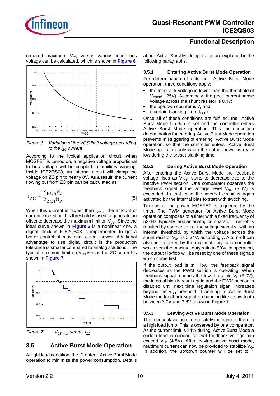

required maximum V<sub>CS</sub> versus various input bus voltage can be calculated, which is shown in **Figure 6**.



*Figure 6 Variation of the VCS limit voltage according to the I<sub>zC</sub>* current

According to the typical application circuit, when MOSFET is turned on, a negative voltage proportional to bus voltage will be coupled to auxiliary winding. Inside ICE2QS03, an internal circuit will clamp the voltage on ZC pin to nearly 0V. As a result, the current flowing out from ZC pin can be calculated as

$$
I_{ZC} = \frac{V_{BUS}N_a}{R_{ZC1}N_P}
$$
 [5]

When this current is higher than  $I_{ZC-1}$ , the amount of current exceeding this threshold is used to generate an offset to decrease the maximum limit on  $V_{CS}$ . Since the ideal curve shown in **Figure 6** is a nonlinear one, a digital block in ICE2QS03 is implemented to get a better control of maximum output power. Additional advantage to use digital circuit is the production tolerance is smaller compared to analog solutions. The typical maximum limit on  $V_{CS}$  versus the ZC current is shown in **Figure 7**.



*Figure 7 VCS-max versus IZC*

# **3.5 Active Burst Mode Operation**

At light load condition, the IC enters Active Burst Mode operation to minimize the power consumption. Details

# **Functional Description**

about Active Burst Mode operation are explained in the following paragraphs.

#### **3.5.1 Entering Active Burst Mode Operation**

For determination of entering Active Burst Mode operation, three conditions apply:

- the feedback voltage is lower than the threshold of  $V_{EBEB}(1.25V)$ . Accordingly, the peak current sense voltage across the shunt resistor is 0.17;
- the up/down counter is 7; and
- a certain blanking time  $(t_{\text{BFR}})$ .

Once all of these conditions are fulfilled, the Active Burst Mode flip-flop is set and the controller enters Active Burst Mode operation. This multi-condition determination for entering Active Burst Mode operation prevents mistriggering of entering Active Burst Mode operation, so that the controller enters Active Burst Mode operation only when the output power is really low during the preset blanking time.

#### **3.5.2 During Active Burst Mode Operation**

After entering the Active Burst Mode the feedback voltage rises as  $V_{\text{OUT}}$  starts to decrease due to the inactive PWM section. One comparator observes the feedback signal if the voltage level  $V_{BH}$  (3.6V) is exceeded. In that case the internal circuit is again activated by the internal bias to start with swtiching.

Turn-on of the power MOSFET is triggered by the timer. The PWM generator for Active Burst Mode operation composes of a timer with a fixed frequency of 52kHz, typically, and an analog comparator. Turn-off is resulted by comparison of the voltage signal  $v_1$  with an internal threshold, by which the voltage across the shunt resistor  $V_{csB}$  is 0.34V, accordingly. A turn-off can also be triggered by the maximal duty ratio controller which sets the maximal duty ratio to 50%. In operation, the output flip-flop will be reset by one of these signals which come first.

If the output load is still low, the feedback signal decreases as the PWM section is operating. When feedback signal reaches the low threshold  $V_{BI}$ (3.0V), the internal bias is reset again and the PWM section is disabled until next time regultaion siganl increases beyond the  $V_{BH}$  threshold. If working in Active Burst Mode the feedback signal is changing like a saw tooth between 3.0V and 3.6V shown in Figure 7.

### **3.5.3 Leaving Active Burst Mode Operation**

The feedback voltage immediately increases if there is a high load jump. This is observed by one comparator. As the current limit is 34% during Active Burst Mode a certain load is needed so that feedback voltage can exceed  $V_{IR}$  (4.5V). After leaving active busrt mode, maximum current can now be provided to stabilize  $V_{\Omega}$ . In addition, the up/down counter will be set to 1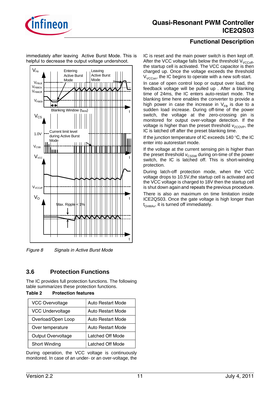

immediately after leaving Active Burst Mode. This is helpful to decrease the output voltage undershoot.



*Figure 8 Signals in Active Burst Mode*

# **3.6 Protection Functions**

The IC provides full protection functions. The following table summarizes these protection functions.

| Table 2 | <b>Protection features</b> |  |
|---------|----------------------------|--|
|         |                            |  |

| <b>VCC Overvoltage</b>  | <b>Auto Restart Mode</b> |
|-------------------------|--------------------------|
| <b>VCC Undervoltage</b> | <b>Auto Restart Mode</b> |
| Overload/Open Loop      | <b>Auto Restart Mode</b> |
| Over temperature        | <b>Auto Restart Mode</b> |
| Output Overvoltage      | Latched Off Mode         |
| Short Winding           | Latched Off Mode         |

During operation, the VCC voltage is continuously monitored. In case of an under- or an over-voltage, the

# **Functional Description**

IC is reset and the main power switch is then kept off. After the VCC voltage falls below the threshold  $V_{\text{VCCoff}}$ , the startup cell is activated. The VCC capacitor is then charged up. Once the voltage exceeds the threshold  $V_{VCCon}$ , the IC begins to operate with a new soft-start.

In case of open control loop or output over load, the feedback voltage will be pulled up . After a blanking time of 24ms, the IC enters auto-restart mode. The blanking time here enables the converter to provide a high power in case the increase in  $V_{FB}$  is due to a sudden load increase. During off-time of the power switch, the voltage at the zero-crossing pin is monitored for output over-voltage detection. If the voltage is higher than the preset threshold  $v_{ZCOVP}$ , the IC is latched off after the preset blanking time.

If the junction temperature of IC exceeds 140 °C, the IC enter into autorestart mode.

If the voltage at the current sensing pin is higher than the preset threshold  $v_{\text{CSSW}}$  during on-time of the power switch, the IC is latched off. This is short-winding protection.

During latch-off protection mode, when the VCC voltage drops to 10.5V,the startup cell is activated and the VCC voltage is charged to 18V then the startup cell is shut down again and repeats the previous procedure.

There is also an maximum on time limitation inside ICE2QS03. Once the gate voltage is high longer than  $t_{OMAx}$ , it is turned off immediately.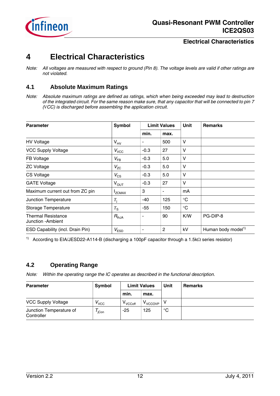

# **4 Electrical Characteristics**

# **4.1 Absolute Maximum Ratings**

*Note: Absolute maximum ratings are defined as ratings, which when being exceeded may lead to destruction of the integrated circuit. For the same reason make sure, that any capacitor that will be connected to pin 7 (VCC) is discharged before assembling the application circuit.*

| <b>Parameter</b>                                | Symbol           |        | <b>Limit Values</b> |             | <b>Remarks</b>                 |
|-------------------------------------------------|------------------|--------|---------------------|-------------|--------------------------------|
|                                                 |                  | min.   | max.                |             |                                |
| <b>HV Voltage</b>                               | $V_{HV}$         | ۰      | 500                 | V           |                                |
| <b>VCC Supply Voltage</b>                       | $V_{\text{VCC}}$ | $-0.3$ | 27                  | v           |                                |
| FB Voltage                                      | $V_{FB}$         | $-0.3$ | 5.0                 | v           |                                |
| <b>ZC Voltage</b>                               | $V_{\rm ZC}$     | $-0.3$ | 5.0                 | $\vee$      |                                |
| <b>CS Voltage</b>                               | $V_{\text{CS}}$  | $-0.3$ | 5.0                 | V           |                                |
| <b>GATE Voltage</b>                             | $V_{\text{OUT}}$ | $-0.3$ | 27                  | V           |                                |
| Maximum current out from ZC pin                 | <b>IZCMAX</b>    | 3      | ۰                   | mA          |                                |
| Junction Temperature                            | $T_{\rm i}$      | -40    | 125                 | $^{\circ}C$ |                                |
| Storage Temperature                             | $T_{\rm S}$      | $-55$  | 150                 | $^{\circ}C$ |                                |
| <b>Thermal Resistance</b><br>Junction - Ambient | $R_{thJA}$       | ۰      | 90                  | K/W         | PG-DIP-8                       |
| ESD Capability (incl. Drain Pin)                | $V_{ESD}$        | ۰      | 2                   | kV          | Human body model <sup>1)</sup> |

<sup>1)</sup> According to EIA/JESD22-A114-B (discharging a 100pF capacitor through a 1.5k $\Omega$  series resistor)

# **4.2 Operating Range**

*Note: Within the operating range the IC operates as described in the functional description.*

| <b>Parameter</b>                      | Symbol            | <b>Limit Values</b> |                 | Unit        | <b>Remarks</b> |
|---------------------------------------|-------------------|---------------------|-----------------|-------------|----------------|
|                                       |                   | min.                | max.            |             |                |
| <b>VCC Supply Voltage</b>             | $V_{VCC}$         | V <sub>VCCoff</sub> | <b>V</b> VCCOVP |             |                |
| Junction Temperature of<br>Controller | $I_{\text{iCon}}$ | $-25$               | 125             | $^{\circ}C$ |                |

*Note: All voltages are measured with respect to ground (Pin 8). The voltage levels are valid if other ratings are not violated.*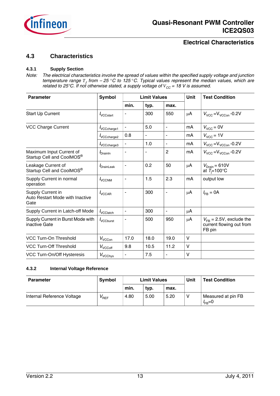

## **4.3 Characteristics**

#### **4.3.1 Supply Section**

*Note: The electrical characteristics involve the spread of values within the specified supply voltage and junction temperature range T<sup>J</sup> from – 25* °*C to 125* °*C. Typical values represent the median values, which are related to 25°C. If not otherwise stated, a supply voltage of*  $V_{CC}$  *= 18 V is assumed.* 

| <b>Parameter</b>                                             | Symbol                      |      | <b>Limit Values</b>      |                          |         | <b>Test Condition</b>                                              |
|--------------------------------------------------------------|-----------------------------|------|--------------------------|--------------------------|---------|--------------------------------------------------------------------|
|                                                              |                             | min. | typ.                     | max.                     |         |                                                                    |
| Start Up Current                                             | $I_{\text{VCCstart}}$       |      | 300                      | 550                      | μA      | $V_{\text{VCC}} = V_{\text{VCCon}} -0.2V$                          |
| <b>VCC Charge Current</b>                                    | VCCcharge1                  |      | 5.0                      | $\blacksquare$           | mA      | $V_{VCC} = 0V$                                                     |
|                                                              | VCCcharge2                  | 0.8  | $\overline{\phantom{0}}$ | $\blacksquare$           | mA      | $V_{VCC}$ = 1V                                                     |
|                                                              | VCCcharge3                  |      | 1.0                      | $\overline{\phantom{a}}$ | mA      | $V_{VCC}$ = $V_{VCCon}$ -0.2V                                      |
| Maximum Input Current of<br>Startup Cell and CoolMOS®        | <i>I</i> <sub>DrainIn</sub> |      |                          | 2                        | mA      | $V_{\text{VCC}} = V_{\text{VCCon}} -0.2V$                          |
| Leakage Current of<br>Startup Cell and CoolMOS®              | <i>I</i> DrainLeak          | ۰    | 0.2                      | 50                       | $\mu$ A | $V_{\text{Drain}} = 610V$<br>at $T_i = 100^{\circ}$ C              |
| Supply Current in normal<br>operation                        | <b>VCCNM</b>                | ۰    | 1.5                      | 2.3                      | mA      | output low                                                         |
| Supply Current in<br>Auto Restart Mode with Inactive<br>Gate | $I_{VCCAR}$                 | ۰    | 300                      | $\overline{\phantom{a}}$ | $\mu$ A | $I_{\text{FR}} = 0A$                                               |
| Supply Current in Latch-off Mode                             | <i>v</i> CClatch            | ä,   | 300                      | $\blacksquare$           | $\mu$ A |                                                                    |
| Supply Current in Burst Mode with<br>inactive Gate           | <i><b>VCCburst</b></i>      | ÷    | 500                      | 950                      | $\mu$ A | $V_{FB}$ = 2.5V, exclude the<br>current flowing out from<br>FB pin |
| VCC Turn-On Threshold                                        | $V_{VCCon}$                 | 17.0 | 18.0                     | 19.0                     | v       |                                                                    |
| <b>VCC Turn-Off Threshold</b>                                | $V_{\text{VCCoff}}$         | 9.8  | 10.5                     | 11.2                     | V       |                                                                    |
| VCC Turn-On/Off Hysteresis                                   | $V_{\text{VCChys}}$         | ۰    | 7.5                      | $\blacksquare$           | $\vee$  |                                                                    |

#### **4.3.2 Internal Voltage Reference**

| <b>Parameter</b>           | <b>Symbol</b>   | <b>Limit Values</b> |      |      |  | Unit                               | <b>Test Condition</b> |
|----------------------------|-----------------|---------------------|------|------|--|------------------------------------|-----------------------|
|                            |                 | min.                | typ. | max. |  |                                    |                       |
| Internal Reference Voltage | REF <sup></sup> | 4.80                | 5.00 | 5.20 |  | Measured at pin FB<br>$I_{FB} = 0$ |                       |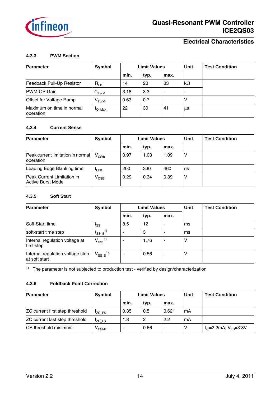

#### **4.3.3 PWM Section**

| <b>Parameter</b>                       | Symbol                      |      | <b>Limit Values</b> |      |           | <b>Test Condition</b> |
|----------------------------------------|-----------------------------|------|---------------------|------|-----------|-----------------------|
|                                        |                             | min. | typ.                | max. |           |                       |
| Feedback Pull-Up Resistor              | $R_{FB}$                    | 14   | 23                  | 33   | $k\Omega$ |                       |
| PWM-OP Gain                            | $\mathrm{G}_{\mathrm{PWM}}$ | 3.18 | 3.3                 | ٠    |           |                       |
| Offset for Voltage Ramp                | $\rm V_{\rm PWM}$           | 0.63 | 0.7                 | -    | ٧         |                       |
| Maximum on time in normal<br>operation | <b>ConMax</b>               | 22   | 30                  | 41   | μS        |                       |

#### **4.3.4 Current Sense**

| <b>Parameter</b>                                       | Symbol                       |      | <b>Limit Values</b> |      | Unit | <b>Test Condition</b> |
|--------------------------------------------------------|------------------------------|------|---------------------|------|------|-----------------------|
|                                                        |                              | min. | typ.                | max. |      |                       |
| Peak current limitation in normal<br>operation         | $\mathsf{V}_{\mathsf{CSth}}$ | 0.97 | 1.03                | 1.09 | ٧    |                       |
| Leading Edge Blanking time                             | <sup>L</sup> LEB             | 200  | 330                 | 460  | ns   |                       |
| Peak Current Limitation in<br><b>Active Burst Mode</b> | $\mathsf{v}_{\textsf{CSB}}$  | 0.29 | 0.34                | 0.39 | ν    |                       |

#### **4.3.5 Soft Start**

| <b>Parameter</b>                                  | Symbol                    |      | <b>Limit Values</b> |      | Unit | <b>Test Condition</b> |
|---------------------------------------------------|---------------------------|------|---------------------|------|------|-----------------------|
|                                                   |                           | min. | typ.                | max. |      |                       |
| Soft-Start time                                   | <sup>l</sup> ss           | 8.5  | 12                  | ۰    | ms   |                       |
| soft-start time step                              | $t_{SS_S}$ <sup>1)</sup>  |      | 3                   |      | ms   |                       |
| Internal regulation voltage at<br>first step      | $V_{SS1}^{1)}$            |      | 1.76                | ۰    | ٧    |                       |
| Internal regulation voltage step<br>at soft start | $\rm V_{SS}$ $\rm s^{1)}$ |      | 0.56                | ۰    | ٧    |                       |

<sup>1)</sup> The parameter is not subjected to production test - verified by design/characterization

#### **4.3.6 Foldback Point Correction**

| <b>Parameter</b>                | Symbol                       | <b>Limit Values</b> |      |       | Unit | <b>Test Condition</b>           |
|---------------------------------|------------------------------|---------------------|------|-------|------|---------------------------------|
|                                 |                              | min.                | typ. | max.  |      |                                 |
| ZC current first step threshold | 'ZC FS                       | 0.35                | 0.5  | 0.621 | mA   |                                 |
| ZC current last step threshold  | Izc LS                       | 1.8                 | -2   | 2.2   | mA   |                                 |
| CS threshold minimum            | $\mathsf{v}_{\mathsf{CSMF}}$ |                     | 0.66 | ٠     | ٧    | $I_{ze}$ =2.2mA, $V_{FB}$ =3.8V |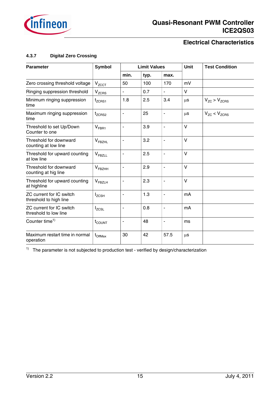

#### **4.3.7 Digital Zero Crossing**

| <b>Parameter</b>                                          | <b>Symbol</b>                 |                              | <b>Limit Values</b> |                          | <b>Unit</b> | <b>Test Condition</b> |
|-----------------------------------------------------------|-------------------------------|------------------------------|---------------------|--------------------------|-------------|-----------------------|
|                                                           |                               | min.                         | typ.                | max.                     |             |                       |
| Zero crossing threshold voltage                           | V <sub>ZCCT</sub>             | 50                           | 100                 | 170                      | mV          |                       |
| Ringing suppression threshold                             | $V_{ZCRS}$                    | $\qquad \qquad \blacksquare$ | 0.7                 | $\overline{\phantom{a}}$ | V           |                       |
| Minimum ringing suppression<br>time                       | t <sub>ZCRS1</sub>            | 1.8                          | 2.5                 | 3.4                      | μs          | $V_{ZC}$ > $V_{ZCRS}$ |
| Maximum ringing suppression<br>time                       | $t_{ZCRS2}$                   | ÷,                           | 25                  | $\overline{\phantom{a}}$ | μs          | $V_{ZC}$ < $V_{ZCRS}$ |
| Threshold to set Up/Down<br>Counter to one                | $V_{FBR1}$                    | ÷                            | 3.9                 | $\blacksquare$           | V           |                       |
| Threshold for downward<br>counting at low line            | $\mathsf{V}_{\mathsf{FBZHL}}$ | ÷,                           | 3.2                 | $\blacksquare$           | $\vee$      |                       |
| Threshold for upward counting<br>at low line              | $V_{\text{FBZLL}}$            | ۰                            | 2.5                 | $\blacksquare$           | $\vee$      |                       |
| Threshold for downward<br>counting at hig line            | $V_{FBZHH}$                   | ÷,                           | 2.9                 | $\overline{\phantom{a}}$ | $\vee$      |                       |
| Threshold for upward counting<br>at highline              | $V_{FBZLH}$                   | $\blacksquare$               | 2.3                 | $\blacksquare$           | $\vee$      |                       |
| <b>ZC current for IC switch</b><br>threshold to high line | $I_{ZCSH}$                    | ۰                            | 1.3                 | $\overline{\phantom{a}}$ | mA          |                       |
| ZC current for IC switch<br>threshold to low line         | $I_{ZCSL}$                    |                              | 0.8                 | $\blacksquare$           | mA          |                       |
| Counter time <sup>1)</sup>                                | $t_{\text{COUNT}}$            | ÷                            | 48                  | $\overline{\phantom{a}}$ | ms          |                       |
| Maximum restart time in normal<br>operation               | $t_{\text{OffMax}}$           | 30                           | 42                  | 57.5                     | $\mu$ s     |                       |

<sup>1)</sup> The parameter is not subjected to production test - verified by design/characterization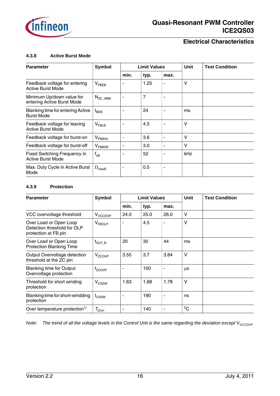

#### **4.3.8 Active Burst Mode**

| <b>Parameter</b>                                          | Symbol            |      | <b>Limit Values</b> |                          | Unit | <b>Test Condition</b> |
|-----------------------------------------------------------|-------------------|------|---------------------|--------------------------|------|-----------------------|
|                                                           |                   | min. | typ.                | max.                     |      |                       |
| Feedback voltage for entering<br><b>Active Burst Mode</b> | $V_{\text{FBEB}}$ |      | 1.25                | ۰                        | v    |                       |
| Minimum Up/down value for<br>entering Active Burst Mode   | $N_{\rm ZC\_ABM}$ |      | 7                   |                          |      |                       |
| Blanking time for entering Active<br><b>Burst Mode</b>    | $t_{BEB}$         |      | 24                  | $\overline{\phantom{a}}$ | ms   |                       |
| Feedback voltage for leaving<br><b>Active Burst Mode</b>  | V <sub>FBLB</sub> |      | 4.5                 | $\blacksquare$           | V    |                       |
| Feedback voltage for burst-on                             | $V_{FBBOn}$       |      | 3.6                 | ٠                        | ۷    |                       |
| Feedback voltage for burst-off                            | $V_{FBBOff}$      | ۰    | 3.0                 | ٠                        | v    |                       |
| Fixed Switching Frequency in<br><b>Active Burst Mode</b>  | $f_{SB}$          |      | 52                  |                          | kHz  |                       |
| Max. Duty Cycle in Active Burst<br>Mode                   | $D_{\text{maxB}}$ |      | 0.5                 | ۰                        |      |                       |

#### **4.3.9 Protection**

| <b>Parameter</b>                                                              | Symbol                        |      | <b>Limit Values</b> |                          | <b>Unit</b> | <b>Test Condition</b> |
|-------------------------------------------------------------------------------|-------------------------------|------|---------------------|--------------------------|-------------|-----------------------|
|                                                                               |                               | min. | typ.                | max.                     |             |                       |
| VCC overvoltage threshold                                                     | V <sub>VCCOVP</sub>           | 24.0 | 25.0                | 26.0                     | v           |                       |
| Over Load or Open Loop<br>Detection threshold for OLP<br>protection at FB pin | $\mathsf{V}_{\mathsf{FBOLP}}$ |      | 4.5                 |                          | V           |                       |
| Over Load or Open Loop<br><b>Protection Blanking Time</b>                     | $t_{OLP\_B}$                  | 20   | 30                  | 44                       | ms          |                       |
| Output Overvoltage detection<br>threshold at the ZC pin                       | V <sub>ZCOVP</sub>            | 3.55 | 3.7                 | 3.84                     | v           |                       |
| <b>Blanking time for Output</b><br>Overvoltage protection                     | t <sub>zcovp</sub>            |      | 100                 |                          | $\mu$ s     |                       |
| Threshold for short winding<br>protection                                     | V <sub>CSSW</sub>             | 1.63 | 1.68                | 1.78                     | V           |                       |
| Blanking time for short-windding<br>protection                                | $t_{\text{CSSW}}$             |      | 190                 |                          | ns          |                       |
| Over temperature protection <sup>1)</sup>                                     | $T_{\rm jCon}$                |      | 140                 | $\overline{\phantom{a}}$ | $^{0}C$     |                       |

*Note:* The trend of all the voltage levels in the Control Unit is the same regarding the deviation except V<sub>VCCOVP</sub>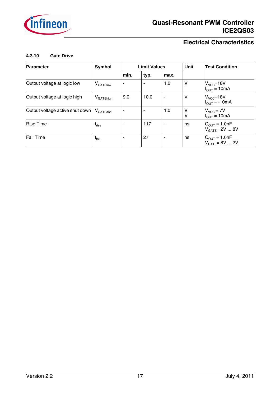

#### **4.3.10 Gate Drive**

| <b>Parameter</b>                | Symbol                         |      | <b>Limit Values</b> |      | <b>Unit</b> | <b>Test Condition</b>                                  |
|---------------------------------|--------------------------------|------|---------------------|------|-------------|--------------------------------------------------------|
|                                 |                                | min. | typ.                | max. |             |                                                        |
| Output voltage at logic low     | V <sub>GATElow</sub>           |      |                     | 1.0  | v           | $V_{VCC} = 18V$<br>$I_{OUT} = 10mA$                    |
| Output voltage at logic high    | V <sub>GATEhigh</sub>          | 9.0  | 10.0                | ٠    | V           | $V_{VCC} = 18V$<br>$I_{OUT} = -10mA$                   |
| Output voltage active shut down | $V_{\mathsf{GATE}$ asd         |      |                     | 1.0  | ٧<br>V      | $V_{VCC}$ = 7V<br>$I_{OUT} = 10mA$                     |
| <b>Rise Time</b>                | $\mathfrak{r}_{\mathsf{rise}}$ |      | 117                 | ٠    | ns          | $C_{\text{OUT}} = 1.0nF$<br>$V_{GATE} = 2V  8V$        |
| <b>Fall Time</b>                | $\mathsf{t}_{\mathsf{fall}}$   |      | 27                  | ۰    | ns          | $C_{\text{OUT}} = 1.0nF$<br>$V_{\text{GATE}} = 8V  2V$ |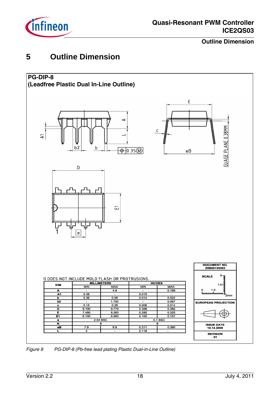

**Outline Dimension**

# **5 Outline Dimension**



*Figure 9 PG-DIP-8 (Pb-free lead plating Plastic Dual-in-Line Outline)*